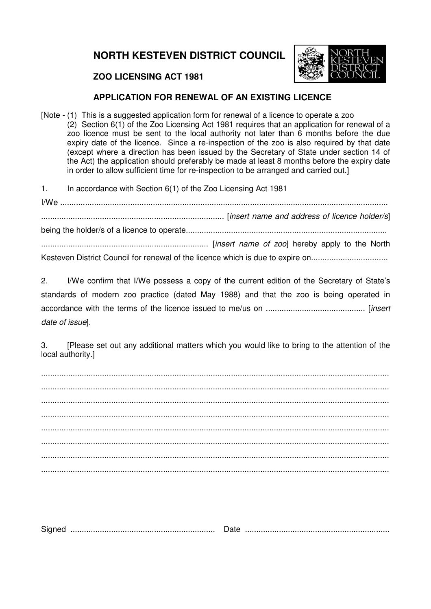

### **ZOO LICENSING ACT 1981**

### **APPLICATION FOR RENEWAL OF AN EXISTING LICENCE**

[Note - (1) This is a suggested application form for renewal of a licence to operate a zoo  $(2)$  Section 6(1) of the Zoo Licensing Act 1981 requires that an application for renewal of a zoo licence must be sent to the local authority not later than 6 months before the due expiry date of the licence. Since a re-inspection of the zoo is also required by that date (except where a direction has been issued by the Secretary of State under section 14 of the Act) the application should preferably be made at least 8 months before the expiry date in order to allow sufficient time for re-inspection to be arranged and carried out.]

1. In accordance with Section 6(1) of the Zoo Licensing Act 1981

I/We ................................................................................................................................................. ................................................................................. [*insert name and address of licence holder/s*] being the holder/s of a licence to operate......................................................................................... .......................................................................... [*insert name of zoo*] hereby apply to the North Kesteven District Council for renewal of the licence which is due to expire on...............................

2. I/We confirm that I/We possess a copy of the current edition of the Secretary of State's standards of modern zoo practice (dated May 1988) and that the zoo is being operated in accordance with the terms of the licence issued to me/us on ............................................ [*insert date of issue*].

3. [Please set out any additional matters which you would like to bring to the attention of the local authority.]

.......................................................................................................................................................... .......................................................................................................................................................... .......................................................................................................................................................... .......................................................................................................................................................... .......................................................................................................................................................... .......................................................................................................................................................... .......................................................................................................................................................... ..........................................................................................................................................................

Signed ................................................................ Date ................................................................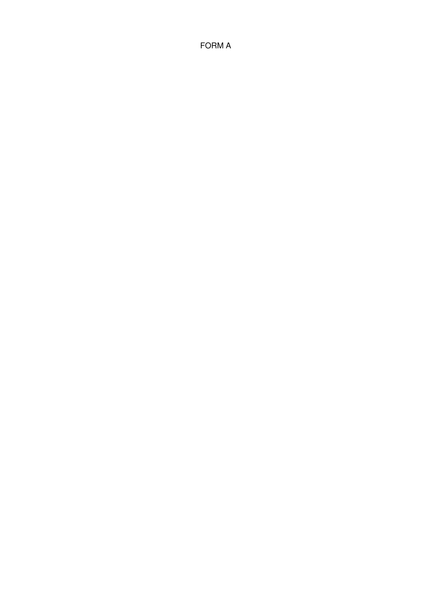FORM A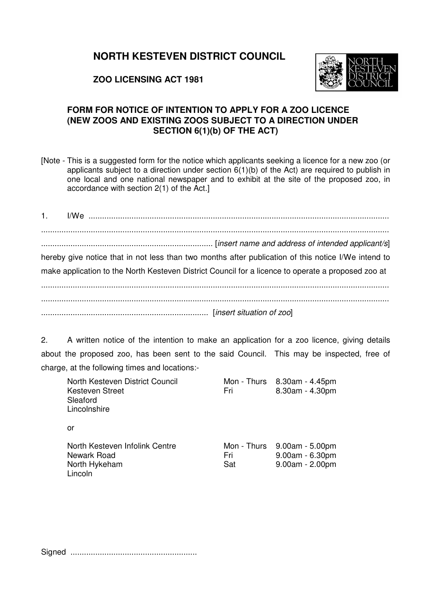### **ZOO LICENSING ACT 1981**



### **FORM FOR NOTICE OF INTENTION TO APPLY FOR A ZOO LICENCE (NEW ZOOS AND EXISTING ZOOS SUBJECT TO A DIRECTION UNDER SECTION 6(1)(b) OF THE ACT)**

[Note - This is a suggested form for the notice which applicants seeking a licence for a new zoo (or applicants subject to a direction under section  $6(1)(b)$  of the Act) are required to publish in one local and one national newspaper and to exhibit at the site of the proposed zoo, in accordance with section 2(1) of the Act.]

1. I/We ..................................................................................................................................... .......................................................................................................................................................... ............................................................................ [*insert name and address of intended applicant/s*] hereby give notice that in not less than two months after publication of this notice I/We intend to make application to the North Kesteven District Council for a licence to operate a proposed zoo at .......................................................................................................................................................... ..........................................................................................................................................................

.......................................................................... [*insert situation of zoo*]

2. A written notice of the intention to make an application for a zoo licence, giving details about the proposed zoo, has been sent to the said Council. This may be inspected, free of charge, at the following times and locations:-

| North Kesteven District Council<br>Kesteven Street<br>Sleaford<br>Lincolnshire | Fri                       | Mon - Thurs 8.30am - 4.45pm<br>8.30am - 4.30pm            |
|--------------------------------------------------------------------------------|---------------------------|-----------------------------------------------------------|
| or                                                                             |                           |                                                           |
| North Kesteven Infolink Centre<br>Newark Road<br>North Hykeham<br>Lincoln      | Mon - Thurs<br>Fri<br>Sat | 9.00am - 5.00pm<br>$9.00am - 6.30pm$<br>$9.00am - 2.00pm$ |

Signed ........................................................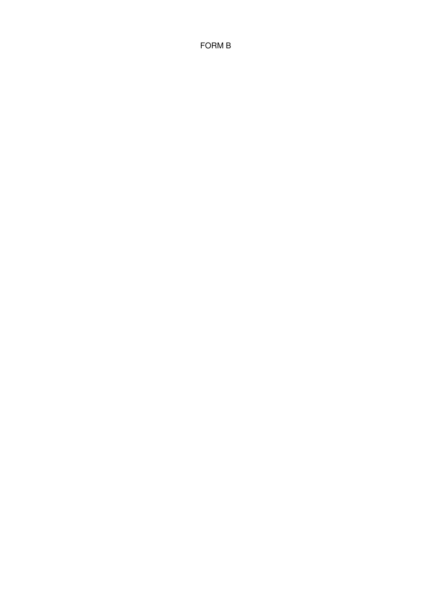FORM B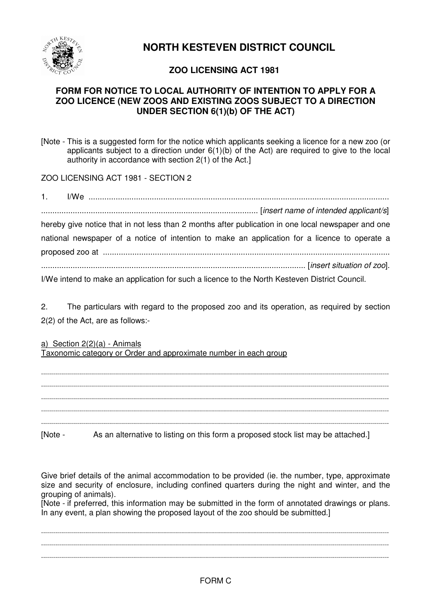

### **ZOO LICENSING ACT 1981**

### **FORM FOR NOTICE TO LOCAL AUTHORITY OF INTENTION TO APPLY FOR A ZOO LICENCE (NEW ZOOS AND EXISTING ZOOS SUBJECT TO A DIRECTION UNDER SECTION 6(1)(b) OF THE ACT)**

[Note - This is a suggested form for the notice which applicants seeking a licence for a new zoo (or applicants subject to a direction under  $6(1)(b)$  of the Act) are required to give to the local authority in accordance with section 2(1) of the Act.]

ZOO LICENSING ACT 1981 - SECTION 2

1. I/We ..................................................................................................................................... ................................................................................................ [*insert name of intended applicant/s*] hereby give notice that in not less than 2 months after publication in one local newspaper and one national newspaper of a notice of intention to make an application for a licence to operate a proposed zoo at ............................................................................................................................... ..................................................................................................................... [*insert situation of zoo*].

I/We intend to make an application for such a licence to the North Kesteven District Council.

2. The particulars with regard to the proposed zoo and its operation, as required by section 2(2) of the Act, are as follows:-

a) Section 2(2)(a) - Animals Taxonomic category or Order and approximate number in each group

| As an alternative to listing on this form a proposed stock list may be attached.] |
|-----------------------------------------------------------------------------------|

Give brief details of the animal accommodation to be provided (ie. the number, type, approximate size and security of enclosure, including confined quarters during the night and winter, and the grouping of animals).

[Note - if preferred, this information may be submitted in the form of annotated drawings or plans. In any event, a plan showing the proposed layout of the zoo should be submitted.]

.............................................................................................................................................................................. .............................................................................................................................................................................. ..............................................................................................................................................................................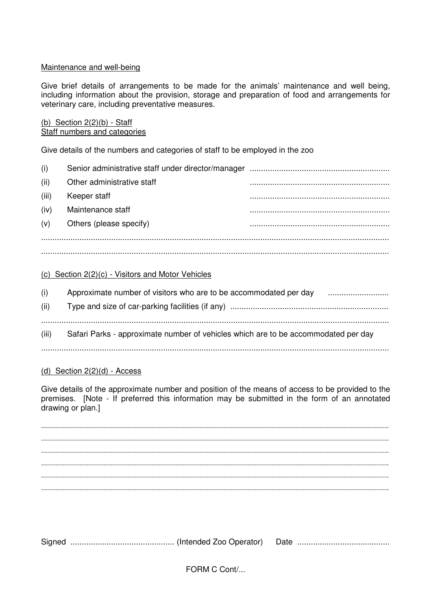#### Maintenance and well-being

Give brief details of arrangements to be made for the animals' maintenance and well being, including information about the provision, storage and preparation of food and arrangements for veterinary care, including preventative measures.

#### (b) Section  $2(2)(b)$  - Staff Staff numbers and categories

Give details of the numbers and categories of staff to be employed in the zoo

| (i)   | Senior administrative staff under director/manager |  |
|-------|----------------------------------------------------|--|
| (ii)  | Other administrative staff                         |  |
| (iii) | Keeper staff                                       |  |
| (iv)  | Maintenance staff                                  |  |
| (v)   | Others (please specify)                            |  |
|       |                                                    |  |
|       |                                                    |  |

#### (c) Section 2(2)(c) - Visitors and Motor Vehicles

| (i)   | Approximate number of visitors who are to be accommodated per day                  |
|-------|------------------------------------------------------------------------------------|
| (ii)  |                                                                                    |
|       |                                                                                    |
| (iii) | Safari Parks - approximate number of vehicles which are to be accommodated per day |
|       |                                                                                    |

#### (d) Section  $2(2)(d)$  - Access

Give details of the approximate number and position of the means of access to be provided to the premises. [Note - If preferred this information may be submitted in the form of an annotated drawing or plan.

FORM C Cont/...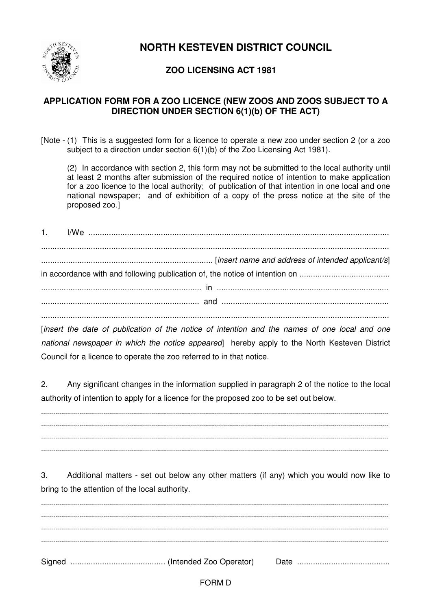

### **ZOO LICENSING ACT 1981**

### **APPLICATION FORM FOR A ZOO LICENCE (NEW ZOOS AND ZOOS SUBJECT TO A DIRECTION UNDER SECTION 6(1)(b) OF THE ACT)**

[Note - (1) This is a suggested form for a licence to operate a new zoo under section 2 (or a zoo subject to a direction under section 6(1)(b) of the Zoo Licensing Act 1981).

(2) In accordance with section 2, this form may not be submitted to the local authority until at least 2 months after submission of the required notice of intention to make application for a zoo licence to the local authority; of publication of that intention in one local and one national newspaper; and of exhibition of a copy of the press notice at the site of the proposed zoo.]

[*insert the date of publication of the notice of intention and the names of one local and one national newspaper in which the notice appeared*] hereby apply to the North Kesteven District Council for a licence to operate the zoo referred to in that notice.

2. Any significant changes in the information supplied in paragraph 2 of the notice to the local authority of intention to apply for a licence for the proposed zoo to be set out below.

.............................................................................................................................................................................. .............................................................................................................................................................................. .............................................................................................................................................................................. ..............................................................................................................................................................................

3. Additional matters - set out below any other matters (if any) which you would now like to bring to the attention of the local authority.

.............................................................................................................................................................................. .............................................................................................................................................................................. .............................................................................................................................................................................. .............................................................................................................................................................................. Signed .......................................... (Intended Zoo Operator) Date .........................................